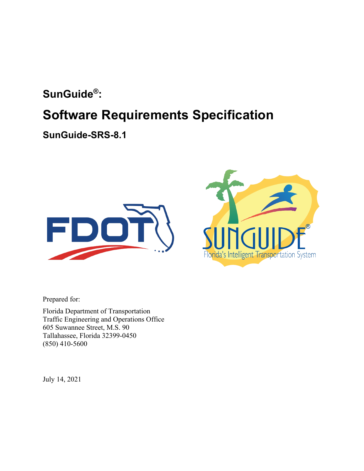## **SunGuide®:**

# **Software Requirements Specification**

**SunGuide-SRS-8.1**





Prepared for:

Florida Department of Transportation Traffic Engineering and Operations Office 605 Suwannee Street, M.S. 90 Tallahassee, Florida 32399-0450 (850) 410-5600

July 14, 2021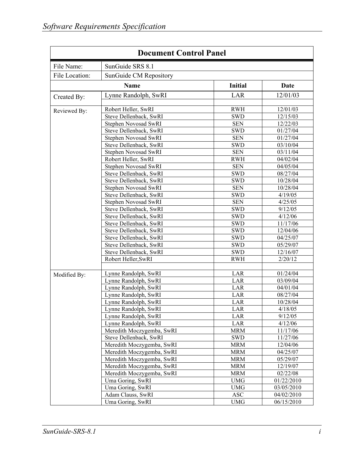| SunGuide SRS 8.1<br>File Name:<br>File Location:<br>SunGuide CM Repository<br><b>Initial</b><br><b>Name</b><br>Date<br>Lynne Randolph, SwRI<br>LAR<br>12/01/03<br>Created By:<br>Robert Heller, SwRI<br><b>RWH</b><br>12/01/03<br>Reviewed By:<br>Steve Dellenback, SwRI<br>12/15/03<br><b>SWD</b><br>12/22/03<br>Stephen Novosad SwRI<br><b>SEN</b><br>Steve Dellenback, SwRI<br><b>SWD</b><br>01/27/04<br>01/27/04<br>Stephen Novosad SwRI<br><b>SEN</b><br>Steve Dellenback, SwRI<br>03/10/04<br><b>SWD</b><br>03/11/04<br>Stephen Novosad SwRI<br><b>SEN</b><br>Robert Heller, SwRI<br>04/02/04<br><b>RWH</b><br>Stephen Novosad SwRI<br><b>SEN</b><br>04/05/04<br>08/27/04<br>Steve Dellenback, SwRI<br><b>SWD</b><br>10/28/04<br>Steve Dellenback, SwRI<br><b>SWD</b><br>10/28/04<br>Stephen Novosad SwRI<br><b>SEN</b><br>Steve Dellenback, SwRI<br>4/19/05<br><b>SWD</b><br>4/25/05<br>Stephen Novosad SwRI<br><b>SEN</b><br>9/12/05<br>Steve Dellenback, SwRI<br><b>SWD</b><br>4/12/06<br>Steve Dellenback, SwRI<br><b>SWD</b><br>11/17/06<br>Steve Dellenback, SwRI<br><b>SWD</b><br>12/04/06<br>Steve Dellenback, SwRI<br><b>SWD</b><br>04/25/07<br>Steve Dellenback, SwRI<br><b>SWD</b><br>Steve Dellenback, SwRI<br><b>SWD</b><br>05/29/07<br>12/16/07<br>Steve Dellenback, SwRI<br><b>SWD</b><br>2/20/12<br>Robert Heller, SwRI<br><b>RWH</b><br>01/24/04<br>Lynne Randolph, SwRI<br>LAR<br>Modified By:<br>LAR<br>03/09/04<br>Lynne Randolph, SwRI<br>LAR<br>04/01/04<br>Lynne Randolph, SwRI<br>LAR<br>08/27/04<br>Lynne Randolph, SwRI<br>10/28/04<br>Lynne Randolph, SwRI<br>LAR<br>Lynne Randolph, SwRI<br>LAR<br>4/18/05<br>LAR<br>Lynne Randolph, SwRI<br>9/12/05<br>4/12/06<br>Lynne Randolph, SwRI<br>LAR<br>Meredith Moczygemba, SwRI<br><b>MRM</b><br>11/17/06<br>11/27/06<br>Steve Dellenback, SwRI<br><b>SWD</b><br>12/04/06<br>Meredith Moczygemba, SwRI<br><b>MRM</b><br>Meredith Moczygemba, SwRI<br><b>MRM</b><br>04/25/07<br>Meredith Moczygemba, SwRI<br><b>MRM</b><br>05/29/07<br>Meredith Moczygemba, SwRI<br><b>MRM</b><br>12/19/07<br>Meredith Moczygemba, SwRI<br><b>MRM</b><br>02/22/08<br>Uma Goring, SwRI<br><b>UMG</b><br>01/22/2010<br>Uma Goring, SwRI<br><b>UMG</b><br>03/05/2010<br>Adam Clauss, SwRI<br><b>ASC</b><br>04/02/2010 | <b>Document Control Panel</b> |                  |            |            |  |
|---------------------------------------------------------------------------------------------------------------------------------------------------------------------------------------------------------------------------------------------------------------------------------------------------------------------------------------------------------------------------------------------------------------------------------------------------------------------------------------------------------------------------------------------------------------------------------------------------------------------------------------------------------------------------------------------------------------------------------------------------------------------------------------------------------------------------------------------------------------------------------------------------------------------------------------------------------------------------------------------------------------------------------------------------------------------------------------------------------------------------------------------------------------------------------------------------------------------------------------------------------------------------------------------------------------------------------------------------------------------------------------------------------------------------------------------------------------------------------------------------------------------------------------------------------------------------------------------------------------------------------------------------------------------------------------------------------------------------------------------------------------------------------------------------------------------------------------------------------------------------------------------------------------------------------------------------------------------------------------------------------------------------------------------------------------------------------------------------------------------------------------------------------------------------------------------------------------------------------------------------------------------------------|-------------------------------|------------------|------------|------------|--|
|                                                                                                                                                                                                                                                                                                                                                                                                                                                                                                                                                                                                                                                                                                                                                                                                                                                                                                                                                                                                                                                                                                                                                                                                                                                                                                                                                                                                                                                                                                                                                                                                                                                                                                                                                                                                                                                                                                                                                                                                                                                                                                                                                                                                                                                                                 |                               |                  |            |            |  |
|                                                                                                                                                                                                                                                                                                                                                                                                                                                                                                                                                                                                                                                                                                                                                                                                                                                                                                                                                                                                                                                                                                                                                                                                                                                                                                                                                                                                                                                                                                                                                                                                                                                                                                                                                                                                                                                                                                                                                                                                                                                                                                                                                                                                                                                                                 |                               |                  |            |            |  |
|                                                                                                                                                                                                                                                                                                                                                                                                                                                                                                                                                                                                                                                                                                                                                                                                                                                                                                                                                                                                                                                                                                                                                                                                                                                                                                                                                                                                                                                                                                                                                                                                                                                                                                                                                                                                                                                                                                                                                                                                                                                                                                                                                                                                                                                                                 |                               |                  |            |            |  |
|                                                                                                                                                                                                                                                                                                                                                                                                                                                                                                                                                                                                                                                                                                                                                                                                                                                                                                                                                                                                                                                                                                                                                                                                                                                                                                                                                                                                                                                                                                                                                                                                                                                                                                                                                                                                                                                                                                                                                                                                                                                                                                                                                                                                                                                                                 |                               |                  |            |            |  |
|                                                                                                                                                                                                                                                                                                                                                                                                                                                                                                                                                                                                                                                                                                                                                                                                                                                                                                                                                                                                                                                                                                                                                                                                                                                                                                                                                                                                                                                                                                                                                                                                                                                                                                                                                                                                                                                                                                                                                                                                                                                                                                                                                                                                                                                                                 |                               |                  |            |            |  |
|                                                                                                                                                                                                                                                                                                                                                                                                                                                                                                                                                                                                                                                                                                                                                                                                                                                                                                                                                                                                                                                                                                                                                                                                                                                                                                                                                                                                                                                                                                                                                                                                                                                                                                                                                                                                                                                                                                                                                                                                                                                                                                                                                                                                                                                                                 |                               |                  |            |            |  |
|                                                                                                                                                                                                                                                                                                                                                                                                                                                                                                                                                                                                                                                                                                                                                                                                                                                                                                                                                                                                                                                                                                                                                                                                                                                                                                                                                                                                                                                                                                                                                                                                                                                                                                                                                                                                                                                                                                                                                                                                                                                                                                                                                                                                                                                                                 |                               |                  |            |            |  |
|                                                                                                                                                                                                                                                                                                                                                                                                                                                                                                                                                                                                                                                                                                                                                                                                                                                                                                                                                                                                                                                                                                                                                                                                                                                                                                                                                                                                                                                                                                                                                                                                                                                                                                                                                                                                                                                                                                                                                                                                                                                                                                                                                                                                                                                                                 |                               |                  |            |            |  |
|                                                                                                                                                                                                                                                                                                                                                                                                                                                                                                                                                                                                                                                                                                                                                                                                                                                                                                                                                                                                                                                                                                                                                                                                                                                                                                                                                                                                                                                                                                                                                                                                                                                                                                                                                                                                                                                                                                                                                                                                                                                                                                                                                                                                                                                                                 |                               |                  |            |            |  |
|                                                                                                                                                                                                                                                                                                                                                                                                                                                                                                                                                                                                                                                                                                                                                                                                                                                                                                                                                                                                                                                                                                                                                                                                                                                                                                                                                                                                                                                                                                                                                                                                                                                                                                                                                                                                                                                                                                                                                                                                                                                                                                                                                                                                                                                                                 |                               |                  |            |            |  |
|                                                                                                                                                                                                                                                                                                                                                                                                                                                                                                                                                                                                                                                                                                                                                                                                                                                                                                                                                                                                                                                                                                                                                                                                                                                                                                                                                                                                                                                                                                                                                                                                                                                                                                                                                                                                                                                                                                                                                                                                                                                                                                                                                                                                                                                                                 |                               |                  |            |            |  |
|                                                                                                                                                                                                                                                                                                                                                                                                                                                                                                                                                                                                                                                                                                                                                                                                                                                                                                                                                                                                                                                                                                                                                                                                                                                                                                                                                                                                                                                                                                                                                                                                                                                                                                                                                                                                                                                                                                                                                                                                                                                                                                                                                                                                                                                                                 |                               |                  |            |            |  |
|                                                                                                                                                                                                                                                                                                                                                                                                                                                                                                                                                                                                                                                                                                                                                                                                                                                                                                                                                                                                                                                                                                                                                                                                                                                                                                                                                                                                                                                                                                                                                                                                                                                                                                                                                                                                                                                                                                                                                                                                                                                                                                                                                                                                                                                                                 |                               |                  |            |            |  |
|                                                                                                                                                                                                                                                                                                                                                                                                                                                                                                                                                                                                                                                                                                                                                                                                                                                                                                                                                                                                                                                                                                                                                                                                                                                                                                                                                                                                                                                                                                                                                                                                                                                                                                                                                                                                                                                                                                                                                                                                                                                                                                                                                                                                                                                                                 |                               |                  |            |            |  |
|                                                                                                                                                                                                                                                                                                                                                                                                                                                                                                                                                                                                                                                                                                                                                                                                                                                                                                                                                                                                                                                                                                                                                                                                                                                                                                                                                                                                                                                                                                                                                                                                                                                                                                                                                                                                                                                                                                                                                                                                                                                                                                                                                                                                                                                                                 |                               |                  |            |            |  |
|                                                                                                                                                                                                                                                                                                                                                                                                                                                                                                                                                                                                                                                                                                                                                                                                                                                                                                                                                                                                                                                                                                                                                                                                                                                                                                                                                                                                                                                                                                                                                                                                                                                                                                                                                                                                                                                                                                                                                                                                                                                                                                                                                                                                                                                                                 |                               |                  |            |            |  |
|                                                                                                                                                                                                                                                                                                                                                                                                                                                                                                                                                                                                                                                                                                                                                                                                                                                                                                                                                                                                                                                                                                                                                                                                                                                                                                                                                                                                                                                                                                                                                                                                                                                                                                                                                                                                                                                                                                                                                                                                                                                                                                                                                                                                                                                                                 |                               |                  |            |            |  |
|                                                                                                                                                                                                                                                                                                                                                                                                                                                                                                                                                                                                                                                                                                                                                                                                                                                                                                                                                                                                                                                                                                                                                                                                                                                                                                                                                                                                                                                                                                                                                                                                                                                                                                                                                                                                                                                                                                                                                                                                                                                                                                                                                                                                                                                                                 |                               |                  |            |            |  |
|                                                                                                                                                                                                                                                                                                                                                                                                                                                                                                                                                                                                                                                                                                                                                                                                                                                                                                                                                                                                                                                                                                                                                                                                                                                                                                                                                                                                                                                                                                                                                                                                                                                                                                                                                                                                                                                                                                                                                                                                                                                                                                                                                                                                                                                                                 |                               |                  |            |            |  |
|                                                                                                                                                                                                                                                                                                                                                                                                                                                                                                                                                                                                                                                                                                                                                                                                                                                                                                                                                                                                                                                                                                                                                                                                                                                                                                                                                                                                                                                                                                                                                                                                                                                                                                                                                                                                                                                                                                                                                                                                                                                                                                                                                                                                                                                                                 |                               |                  |            |            |  |
|                                                                                                                                                                                                                                                                                                                                                                                                                                                                                                                                                                                                                                                                                                                                                                                                                                                                                                                                                                                                                                                                                                                                                                                                                                                                                                                                                                                                                                                                                                                                                                                                                                                                                                                                                                                                                                                                                                                                                                                                                                                                                                                                                                                                                                                                                 |                               |                  |            |            |  |
|                                                                                                                                                                                                                                                                                                                                                                                                                                                                                                                                                                                                                                                                                                                                                                                                                                                                                                                                                                                                                                                                                                                                                                                                                                                                                                                                                                                                                                                                                                                                                                                                                                                                                                                                                                                                                                                                                                                                                                                                                                                                                                                                                                                                                                                                                 |                               |                  |            |            |  |
|                                                                                                                                                                                                                                                                                                                                                                                                                                                                                                                                                                                                                                                                                                                                                                                                                                                                                                                                                                                                                                                                                                                                                                                                                                                                                                                                                                                                                                                                                                                                                                                                                                                                                                                                                                                                                                                                                                                                                                                                                                                                                                                                                                                                                                                                                 |                               |                  |            |            |  |
|                                                                                                                                                                                                                                                                                                                                                                                                                                                                                                                                                                                                                                                                                                                                                                                                                                                                                                                                                                                                                                                                                                                                                                                                                                                                                                                                                                                                                                                                                                                                                                                                                                                                                                                                                                                                                                                                                                                                                                                                                                                                                                                                                                                                                                                                                 |                               |                  |            |            |  |
|                                                                                                                                                                                                                                                                                                                                                                                                                                                                                                                                                                                                                                                                                                                                                                                                                                                                                                                                                                                                                                                                                                                                                                                                                                                                                                                                                                                                                                                                                                                                                                                                                                                                                                                                                                                                                                                                                                                                                                                                                                                                                                                                                                                                                                                                                 |                               |                  |            |            |  |
|                                                                                                                                                                                                                                                                                                                                                                                                                                                                                                                                                                                                                                                                                                                                                                                                                                                                                                                                                                                                                                                                                                                                                                                                                                                                                                                                                                                                                                                                                                                                                                                                                                                                                                                                                                                                                                                                                                                                                                                                                                                                                                                                                                                                                                                                                 |                               |                  |            |            |  |
|                                                                                                                                                                                                                                                                                                                                                                                                                                                                                                                                                                                                                                                                                                                                                                                                                                                                                                                                                                                                                                                                                                                                                                                                                                                                                                                                                                                                                                                                                                                                                                                                                                                                                                                                                                                                                                                                                                                                                                                                                                                                                                                                                                                                                                                                                 |                               |                  |            |            |  |
|                                                                                                                                                                                                                                                                                                                                                                                                                                                                                                                                                                                                                                                                                                                                                                                                                                                                                                                                                                                                                                                                                                                                                                                                                                                                                                                                                                                                                                                                                                                                                                                                                                                                                                                                                                                                                                                                                                                                                                                                                                                                                                                                                                                                                                                                                 |                               |                  |            |            |  |
|                                                                                                                                                                                                                                                                                                                                                                                                                                                                                                                                                                                                                                                                                                                                                                                                                                                                                                                                                                                                                                                                                                                                                                                                                                                                                                                                                                                                                                                                                                                                                                                                                                                                                                                                                                                                                                                                                                                                                                                                                                                                                                                                                                                                                                                                                 |                               |                  |            |            |  |
|                                                                                                                                                                                                                                                                                                                                                                                                                                                                                                                                                                                                                                                                                                                                                                                                                                                                                                                                                                                                                                                                                                                                                                                                                                                                                                                                                                                                                                                                                                                                                                                                                                                                                                                                                                                                                                                                                                                                                                                                                                                                                                                                                                                                                                                                                 |                               |                  |            |            |  |
|                                                                                                                                                                                                                                                                                                                                                                                                                                                                                                                                                                                                                                                                                                                                                                                                                                                                                                                                                                                                                                                                                                                                                                                                                                                                                                                                                                                                                                                                                                                                                                                                                                                                                                                                                                                                                                                                                                                                                                                                                                                                                                                                                                                                                                                                                 |                               |                  |            |            |  |
|                                                                                                                                                                                                                                                                                                                                                                                                                                                                                                                                                                                                                                                                                                                                                                                                                                                                                                                                                                                                                                                                                                                                                                                                                                                                                                                                                                                                                                                                                                                                                                                                                                                                                                                                                                                                                                                                                                                                                                                                                                                                                                                                                                                                                                                                                 |                               |                  |            |            |  |
|                                                                                                                                                                                                                                                                                                                                                                                                                                                                                                                                                                                                                                                                                                                                                                                                                                                                                                                                                                                                                                                                                                                                                                                                                                                                                                                                                                                                                                                                                                                                                                                                                                                                                                                                                                                                                                                                                                                                                                                                                                                                                                                                                                                                                                                                                 |                               |                  |            |            |  |
|                                                                                                                                                                                                                                                                                                                                                                                                                                                                                                                                                                                                                                                                                                                                                                                                                                                                                                                                                                                                                                                                                                                                                                                                                                                                                                                                                                                                                                                                                                                                                                                                                                                                                                                                                                                                                                                                                                                                                                                                                                                                                                                                                                                                                                                                                 |                               |                  |            |            |  |
|                                                                                                                                                                                                                                                                                                                                                                                                                                                                                                                                                                                                                                                                                                                                                                                                                                                                                                                                                                                                                                                                                                                                                                                                                                                                                                                                                                                                                                                                                                                                                                                                                                                                                                                                                                                                                                                                                                                                                                                                                                                                                                                                                                                                                                                                                 |                               |                  |            |            |  |
|                                                                                                                                                                                                                                                                                                                                                                                                                                                                                                                                                                                                                                                                                                                                                                                                                                                                                                                                                                                                                                                                                                                                                                                                                                                                                                                                                                                                                                                                                                                                                                                                                                                                                                                                                                                                                                                                                                                                                                                                                                                                                                                                                                                                                                                                                 |                               |                  |            |            |  |
|                                                                                                                                                                                                                                                                                                                                                                                                                                                                                                                                                                                                                                                                                                                                                                                                                                                                                                                                                                                                                                                                                                                                                                                                                                                                                                                                                                                                                                                                                                                                                                                                                                                                                                                                                                                                                                                                                                                                                                                                                                                                                                                                                                                                                                                                                 |                               |                  |            |            |  |
|                                                                                                                                                                                                                                                                                                                                                                                                                                                                                                                                                                                                                                                                                                                                                                                                                                                                                                                                                                                                                                                                                                                                                                                                                                                                                                                                                                                                                                                                                                                                                                                                                                                                                                                                                                                                                                                                                                                                                                                                                                                                                                                                                                                                                                                                                 |                               |                  |            |            |  |
|                                                                                                                                                                                                                                                                                                                                                                                                                                                                                                                                                                                                                                                                                                                                                                                                                                                                                                                                                                                                                                                                                                                                                                                                                                                                                                                                                                                                                                                                                                                                                                                                                                                                                                                                                                                                                                                                                                                                                                                                                                                                                                                                                                                                                                                                                 |                               |                  |            |            |  |
|                                                                                                                                                                                                                                                                                                                                                                                                                                                                                                                                                                                                                                                                                                                                                                                                                                                                                                                                                                                                                                                                                                                                                                                                                                                                                                                                                                                                                                                                                                                                                                                                                                                                                                                                                                                                                                                                                                                                                                                                                                                                                                                                                                                                                                                                                 |                               |                  |            |            |  |
|                                                                                                                                                                                                                                                                                                                                                                                                                                                                                                                                                                                                                                                                                                                                                                                                                                                                                                                                                                                                                                                                                                                                                                                                                                                                                                                                                                                                                                                                                                                                                                                                                                                                                                                                                                                                                                                                                                                                                                                                                                                                                                                                                                                                                                                                                 |                               |                  |            |            |  |
|                                                                                                                                                                                                                                                                                                                                                                                                                                                                                                                                                                                                                                                                                                                                                                                                                                                                                                                                                                                                                                                                                                                                                                                                                                                                                                                                                                                                                                                                                                                                                                                                                                                                                                                                                                                                                                                                                                                                                                                                                                                                                                                                                                                                                                                                                 |                               |                  |            |            |  |
|                                                                                                                                                                                                                                                                                                                                                                                                                                                                                                                                                                                                                                                                                                                                                                                                                                                                                                                                                                                                                                                                                                                                                                                                                                                                                                                                                                                                                                                                                                                                                                                                                                                                                                                                                                                                                                                                                                                                                                                                                                                                                                                                                                                                                                                                                 |                               |                  |            |            |  |
|                                                                                                                                                                                                                                                                                                                                                                                                                                                                                                                                                                                                                                                                                                                                                                                                                                                                                                                                                                                                                                                                                                                                                                                                                                                                                                                                                                                                                                                                                                                                                                                                                                                                                                                                                                                                                                                                                                                                                                                                                                                                                                                                                                                                                                                                                 |                               |                  |            |            |  |
|                                                                                                                                                                                                                                                                                                                                                                                                                                                                                                                                                                                                                                                                                                                                                                                                                                                                                                                                                                                                                                                                                                                                                                                                                                                                                                                                                                                                                                                                                                                                                                                                                                                                                                                                                                                                                                                                                                                                                                                                                                                                                                                                                                                                                                                                                 |                               |                  |            |            |  |
|                                                                                                                                                                                                                                                                                                                                                                                                                                                                                                                                                                                                                                                                                                                                                                                                                                                                                                                                                                                                                                                                                                                                                                                                                                                                                                                                                                                                                                                                                                                                                                                                                                                                                                                                                                                                                                                                                                                                                                                                                                                                                                                                                                                                                                                                                 |                               | Uma Goring, SwRI | <b>UMG</b> | 06/15/2010 |  |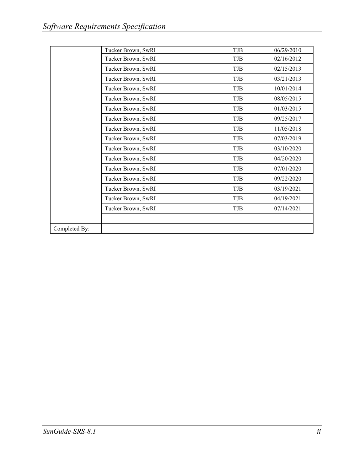|               | Tucker Brown, SwRI | TJB        | 06/29/2010 |
|---------------|--------------------|------------|------------|
|               | Tucker Brown, SwRI | TJB        | 02/16/2012 |
|               | Tucker Brown, SwRI | TJB        | 02/15/2013 |
|               | Tucker Brown, SwRI | TJB        | 03/21/2013 |
|               | Tucker Brown, SwRI | TJB        | 10/01/2014 |
|               | Tucker Brown, SwRI | TJB        | 08/05/2015 |
|               | Tucker Brown, SwRI | TJB        | 01/03/2015 |
|               | Tucker Brown, SwRI | TJB        | 09/25/2017 |
|               | Tucker Brown, SwRI | TJB        | 11/05/2018 |
|               | Tucker Brown, SwRI | TJB        | 07/03/2019 |
|               | Tucker Brown, SwRI | TJB        | 03/10/2020 |
|               | Tucker Brown, SwRI | TJB        | 04/20/2020 |
|               | Tucker Brown, SwRI | <b>TJB</b> | 07/01/2020 |
|               | Tucker Brown, SwRI | <b>TJB</b> | 09/22/2020 |
|               | Tucker Brown, SwRI | <b>TJB</b> | 03/19/2021 |
|               | Tucker Brown, SwRI | <b>TJB</b> | 04/19/2021 |
|               | Tucker Brown, SwRI | TJB        | 07/14/2021 |
|               |                    |            |            |
| Completed By: |                    |            |            |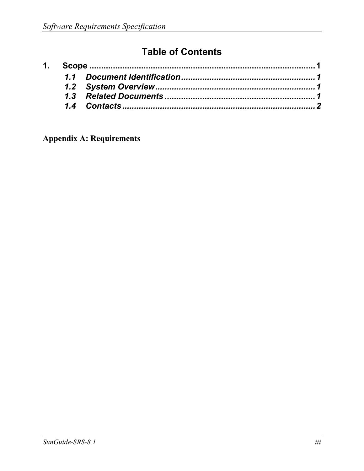## **Table of Contents**

**Appendix A: Requirements**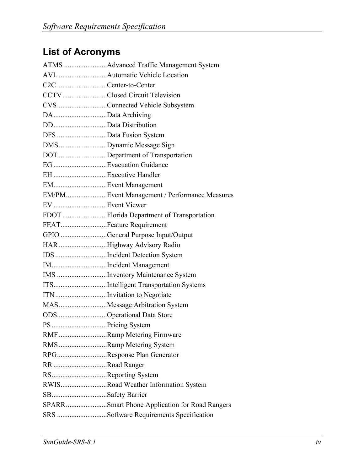# **List of Acronyms**

| C2C Center-to-Center    |                                               |
|-------------------------|-----------------------------------------------|
|                         | CCTVClosed Circuit Television                 |
|                         | CVSConnected Vehicle Subsystem                |
| DAData Archiving        |                                               |
| DDData Distribution     |                                               |
| DFS Data Fusion System  |                                               |
|                         | DMSDynamic Message Sign                       |
|                         | DOT Department of Transportation              |
|                         |                                               |
|                         |                                               |
| EMEvent Management      |                                               |
|                         | EM/PMEvent Management / Performance Measures  |
| EV Event Viewer         |                                               |
|                         | FDOT Florida Department of Transportation     |
| FEATFeature Requirement |                                               |
|                         | GPIO General Purpose Input/Output             |
|                         | HAR Highway Advisory Radio                    |
|                         | IDS Incident Detection System                 |
|                         | IMIncident Management                         |
|                         | IMS Inventory Maintenance System              |
|                         | ITSIntelligent Transportation Systems         |
|                         | ITNInvitation to Negotiate                    |
|                         | MASMessage Arbitration System                 |
|                         | ODSOperational Data Store                     |
| PS Pricing System       |                                               |
|                         | RMF Ramp Metering Firmware                    |
|                         | RMS Ramp Metering System                      |
|                         | RPGResponse Plan Generator                    |
| RR Road Ranger          |                                               |
| RSReporting System      |                                               |
|                         | RWISRoad Weather Information System           |
| SBSafety Barrier        |                                               |
|                         | SPARRSmart Phone Application for Road Rangers |
|                         | SRS Software Requirements Specification       |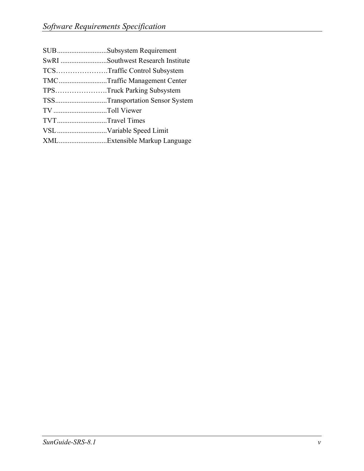| SUBSubsystem Requirement          |
|-----------------------------------|
| SwRI Southwest Research Institute |
| TCSTraffic Control Subsystem      |
| TMCTraffic Management Center      |
| TPSTruck Parking Subsystem        |
| TSSTransportation Sensor System   |
| TV Toll Viewer                    |
| TVTTravel Times                   |
| VSLVariable Speed Limit           |
| XMLExtensible Markup Language     |
|                                   |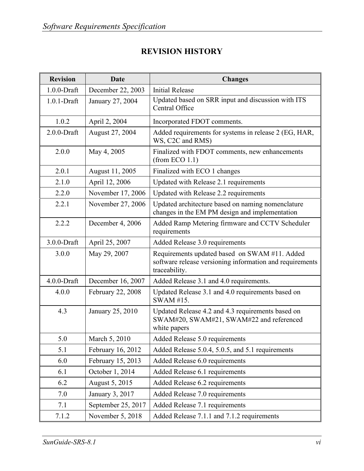#### **REVISION HISTORY**

| <b>Revision</b> | <b>Date</b>        | <b>Changes</b>                                                                                                             |
|-----------------|--------------------|----------------------------------------------------------------------------------------------------------------------------|
| $1.0.0$ -Draft  | December 22, 2003  | <b>Initial Release</b>                                                                                                     |
| $1.0.1$ -Draft  | January 27, 2004   | Updated based on SRR input and discussion with ITS<br>Central Office                                                       |
| 1.0.2           | April 2, 2004      | Incorporated FDOT comments.                                                                                                |
| $2.0.0$ -Draft  | August 27, 2004    | Added requirements for systems in release 2 (EG, HAR,<br>WS, C2C and RMS)                                                  |
| 2.0.0           | May 4, 2005        | Finalized with FDOT comments, new enhancements<br>(from ECO 1.1)                                                           |
| 2.0.1           | August 11, 2005    | Finalized with ECO 1 changes                                                                                               |
| 2.1.0           | April 12, 2006     | Updated with Release 2.1 requirements                                                                                      |
| 2.2.0           | November 17, 2006  | Updated with Release 2.2 requirements                                                                                      |
| 2.2.1           | November 27, 2006  | Updated architecture based on naming nomenclature<br>changes in the EM PM design and implementation                        |
| 2.2.2           | December 4, 2006   | Added Ramp Metering firmware and CCTV Scheduler<br>requirements                                                            |
| 3.0.0-Draft     | April 25, 2007     | Added Release 3.0 requirements                                                                                             |
| 3.0.0           | May 29, 2007       | Requirements updated based on SWAM #11. Added<br>software release versioning information and requirements<br>traceability. |
| $4.0.0$ -Draft  | December 16, 2007  | Added Release 3.1 and 4.0 requirements.                                                                                    |
| 4.0.0           | February 22, 2008  | Updated Release 3.1 and 4.0 requirements based on<br>SWAM #15.                                                             |
| 4.3             | January 25, 2010   | Updated Release 4.2 and 4.3 requirements based on<br>SWAM#20, SWAM#21, SWAM#22 and referenced<br>white papers              |
| 5.0             | March 5, 2010      | Added Release 5.0 requirements                                                                                             |
| 5.1             | February 16, 2012  | Added Release 5.0.4, 5.0.5, and 5.1 requirements                                                                           |
| 6.0             | February 15, 2013  | Added Release 6.0 requirements                                                                                             |
| 6.1             | October 1, 2014    | Added Release 6.1 requirements                                                                                             |
| 6.2             | August 5, 2015     | Added Release 6.2 requirements                                                                                             |
| 7.0             | January 3, 2017    | Added Release 7.0 requirements                                                                                             |
| 7.1             | September 25, 2017 | Added Release 7.1 requirements                                                                                             |
| 7.1.2           | November 5, 2018   | Added Release 7.1.1 and 7.1.2 requirements                                                                                 |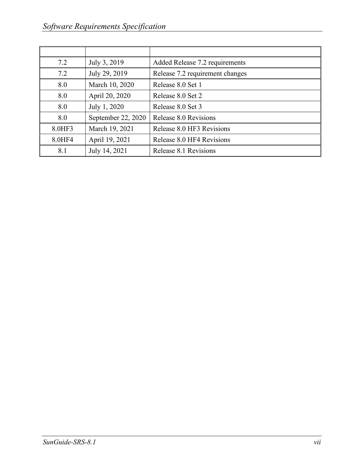| 7.2    | July 3, 2019       | Added Release 7.2 requirements  |
|--------|--------------------|---------------------------------|
| 7.2    | July 29, 2019      | Release 7.2 requirement changes |
| 8.0    | March 10, 2020     | Release 8.0 Set 1               |
| 8.0    | April 20, 2020     | Release 8.0 Set 2               |
| 8.0    | July 1, 2020       | Release 8.0 Set 3               |
| 8.0    | September 22, 2020 | Release 8.0 Revisions           |
| 8.0HF3 | March 19, 2021     | Release 8.0 HF3 Revisions       |
| 8.0HF4 | April 19, 2021     | Release 8.0 HF4 Revisions       |
| 8.1    | July 14, 2021      | Release 8.1 Revisions           |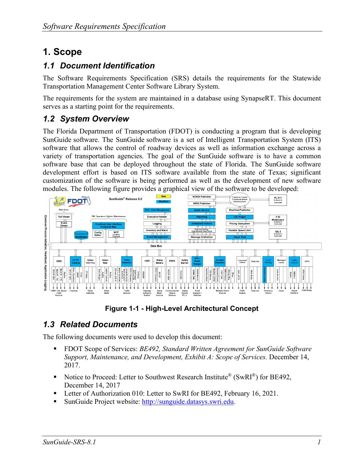## <span id="page-8-0"></span>**1. Scope**

#### <span id="page-8-1"></span>*1.1 Document Identification*

The Software Requirements Specification (SRS) details the requirements for the Statewide Transportation Management Center Software Library System.

The requirements for the system are maintained in a database using SynapseRT. This document serves as a starting point for the requirements.

#### <span id="page-8-2"></span>*1.2 System Overview*

The Florida Department of Transportation (FDOT) is conducting a program that is developing SunGuide software. The SunGuide software is a set of Intelligent Transportation System (ITS) software that allows the control of roadway devices as well as information exchange across a variety of transportation agencies. The goal of the SunGuide software is to have a common software base that can be deployed throughout the state of Florida. The SunGuide software development effort is based on ITS software available from the state of Texas; significant customization of the software is being performed as well as the development of new software modules. The following figure provides a graphical view of the software to be developed:



**Figure 1-1 - High-Level Architectural Concept**

#### <span id="page-8-3"></span>*1.3 Related Documents*

The following documents were used to develop this document:

- FDOT Scope of Services: *BE492, Standard Written Agreement for SunGuide Software Support, Maintenance, and Development, Exhibit A: Scope of Services.* December 14, 2017.
- Notice to Proceed: Letter to Southwest Research Institute<sup>®</sup> (SwRI<sup>®</sup>) for BE492, December 14, 2017
- **Letter of Authorization 010: Letter to SwRI for BE492, February 16, 2021.**
- SunGuide Project website: [http://sunguide.datasys.swri.edu.](http://sunguide.datasys.swri.edu/)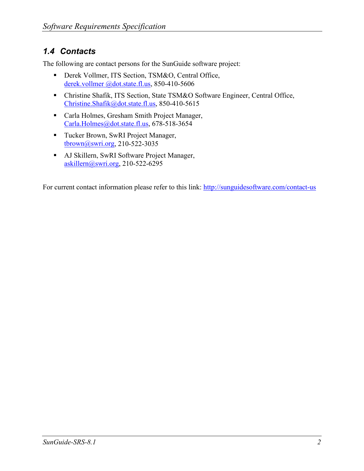#### <span id="page-9-0"></span>*1.4 Contacts*

The following are contact persons for the SunGuide software project:

- Derek Vollmer, ITS Section, TSM&O, Central Office, [derek.vollmer @dot.state.fl.us,](mailto:fred.heery@dot.state.fl.us) 850-410-5606
- Christine Shafik, ITS Section, State TSM&O Software Engineer, Central Office, [Christine.Shafik@dot.state.fl.us,](mailto:Christine.Shafik@dot.state.fl.us) 850-410-5615
- Carla Holmes, Gresham Smith Project Manager, Carla.Holmes@dot.state.fl.us, 678-518-3654
- Tucker Brown, SwRI Project Manager, [tbrown@swri.org,](mailto:tbrown@swri.org) 210-522-3035
- AJ Skillern, SwRI Software Project Manager, [askillern@swri.org,](mailto:askillern@swri.org) 210-522-6295

For current contact information please refer to this link: [http://sunguidesoftware.com/contact-us](https://urldefense.com/v3/__http:/sunguidesoftware.com/contact-us__;!!D-JDmu3Lc2wo0Jiybg!ODUBy5ZqQC1KbOR_Hos9hWCduFEEERkYXzj4p-wnPo-FeA7-X_IIcfg5f0GqfTOBag$)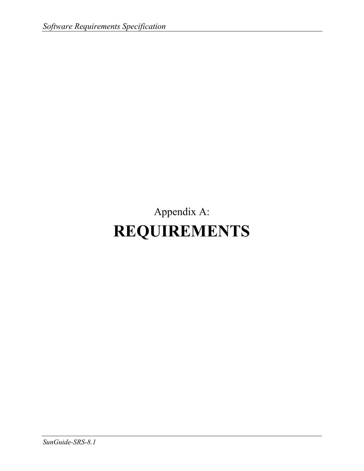# Appendix A: **REQUIREMENTS**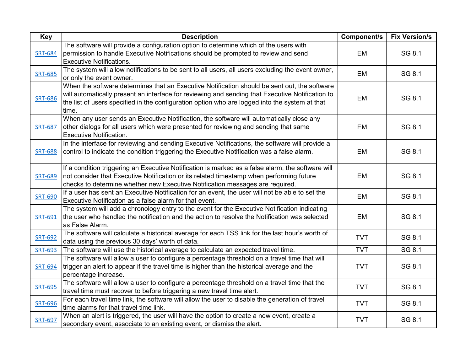| Key            | <b>Description</b>                                                                                                                                                                                                                                                                                          | Component/s | <b>Fix Version/s</b> |
|----------------|-------------------------------------------------------------------------------------------------------------------------------------------------------------------------------------------------------------------------------------------------------------------------------------------------------------|-------------|----------------------|
| <b>SRT-684</b> | The software will provide a configuration option to determine which of the users with<br>permission to handle Executive Notifications should be prompted to review and send<br><b>Executive Notifications.</b>                                                                                              | <b>EM</b>   | SG 8.1               |
| <b>SRT-685</b> | The system will allow notifications to be sent to all users, all users excluding the event owner,<br>or only the event owner.                                                                                                                                                                               | EM          | SG 8.1               |
| <b>SRT-686</b> | When the software determines that an Executive Notification should be sent out, the software<br>will automatically present an interface for reviewing and sending that Executive Notification to<br>the list of users specified in the configuration option who are logged into the system at that<br>time. | <b>EM</b>   | SG 8.1               |
| <b>SRT-687</b> | When any user sends an Executive Notification, the software will automatically close any<br>other dialogs for all users which were presented for reviewing and sending that same<br><b>Executive Notification.</b>                                                                                          | <b>EM</b>   | SG 8.1               |
| <b>SRT-688</b> | In the interface for reviewing and sending Executive Notifications, the software will provide a<br>control to indicate the condition triggering the Executive Notification was a false alarm.                                                                                                               | <b>EM</b>   | SG 8.1               |
| <b>SRT-689</b> | If a condition triggering an Executive Notification is marked as a false alarm, the software will<br>not consider that Executive Notification or its related timestamp when performing future<br>checks to determine whether new Executive Notification messages are required.                              | <b>EM</b>   | SG 8.1               |
| <b>SRT-690</b> | If a user has sent an Executive Notification for an event, the user will not be able to set the<br>Executive Notification as a false alarm for that event.                                                                                                                                                  | <b>EM</b>   | SG 8.1               |
| <b>SRT-691</b> | The system will add a chronology entry to the event for the Executive Notification indicating<br>the user who handled the notification and the action to resolve the Notification was selected<br>as False Alarm.                                                                                           | <b>EM</b>   | SG 8.1               |
| <b>SRT-692</b> | The software will calculate a historical average for each TSS link for the last hour's worth of<br>data using the previous 30 days' worth of data.                                                                                                                                                          | <b>TVT</b>  | SG 8.1               |
| SRT-693        | The software will use the historical average to calculate an expected travel time.                                                                                                                                                                                                                          | <b>TVT</b>  | SG 8.1               |
| <b>SRT-694</b> | The software will allow a user to configure a percentage threshold on a travel time that will<br>trigger an alert to appear if the travel time is higher than the historical average and the<br>percentage increase.                                                                                        | <b>TVT</b>  | SG 8.1               |
| <b>SRT-695</b> | The software will allow a user to configure a percentage threshold on a travel time that the<br>travel time must recover to before triggering a new travel time alert.                                                                                                                                      | <b>TVT</b>  | SG 8.1               |
| <b>SRT-696</b> | For each travel time link, the software will allow the user to disable the generation of travel<br>time alarms for that travel time link.                                                                                                                                                                   | <b>TVT</b>  | SG 8.1               |
| SRT-697        | When an alert is triggered, the user will have the option to create a new event, create a<br>secondary event, associate to an existing event, or dismiss the alert.                                                                                                                                         | <b>TVT</b>  | SG 8.1               |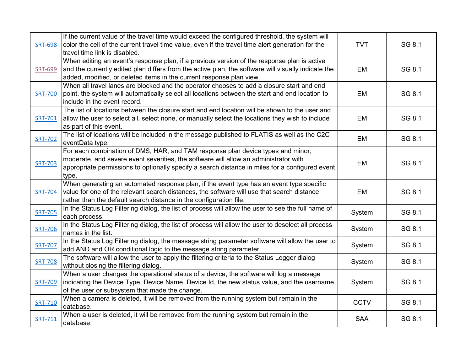|                | If the current value of the travel time would exceed the configured threshold, the system will      |             |        |
|----------------|-----------------------------------------------------------------------------------------------------|-------------|--------|
| <b>SRT-698</b> | color the cell of the current travel time value, even if the travel time alert generation for the   | <b>TVT</b>  | SG 8.1 |
|                | travel time link is disabled.                                                                       |             |        |
|                | When editing an event's response plan, if a previous version of the response plan is active         |             |        |
| <b>SRT-699</b> | and the currently edited plan differs from the active plan, the software will visually indicate the | EM          | SG 8.1 |
|                | added, modified, or deleted items in the current response plan view.                                |             |        |
|                | When all travel lanes are blocked and the operator chooses to add a closure start and end           |             |        |
| <b>SRT-700</b> | point, the system will automatically select all locations between the start and end location to     | EM          | SG 8.1 |
|                | include in the event record.                                                                        |             |        |
|                | The list of locations between the closure start and end location will be shown to the user and      |             |        |
| <b>SRT-701</b> | allow the user to select all, select none, or manually select the locations they wish to include    | EM          | SG 8.1 |
|                | as part of this event.                                                                              |             |        |
|                | The list of locations will be included in the message published to FLATIS as well as the C2C        | EM          | SG 8.1 |
| <b>SRT-702</b> | eventData type.                                                                                     |             |        |
|                | For each combination of DMS, HAR, and TAM response plan device types and minor,                     |             |        |
|                | moderate, and severe event severities, the software will allow an administrator with                | EM          | SG 8.1 |
| <b>SRT-703</b> | appropriate permissions to optionally specify a search distance in miles for a configured event     |             |        |
|                | type.                                                                                               |             |        |
|                | When generating an automated response plan, if the event type has an event type specific            |             |        |
| <b>SRT-704</b> | value for one of the relevant search distances, the software will use that search distance          | EM          | SG 8.1 |
|                | rather than the default search distance in the configuration file.                                  |             |        |
| <b>SRT-705</b> | In the Status Log Filtering dialog, the list of process will allow the user to see the full name of | System      | SG 8.1 |
|                | each process.                                                                                       |             |        |
| <b>SRT-706</b> | In the Status Log Filtering dialog, the list of process will allow the user to deselect all process | System      | SG 8.1 |
|                | names in the list.                                                                                  |             |        |
| <b>SRT-707</b> | In the Status Log Filtering dialog, the message string parameter software will allow the user to    | System      | SG 8.1 |
|                | add AND and OR conditional logic to the message string parameter.                                   |             |        |
| <b>SRT-708</b> | The software will allow the user to apply the filtering criteria to the Status Logger dialog        | System      | SG 8.1 |
|                | without closing the filtering dialog.                                                               |             |        |
|                | When a user changes the operational status of a device, the software will log a message             |             |        |
| <b>SRT-709</b> | indicating the Device Type, Device Name, Device Id, the new status value, and the username          | System      | SG 8.1 |
|                | of the user or subsystem that made the change.                                                      |             |        |
| <b>SRT-710</b> | When a camera is deleted, it will be removed from the running system but remain in the              | <b>CCTV</b> | SG 8.1 |
|                | database.                                                                                           |             |        |
| SRT-711        | When a user is deleted, it will be removed from the running system but remain in the                | <b>SAA</b>  | SG 8.1 |
|                | database.                                                                                           |             |        |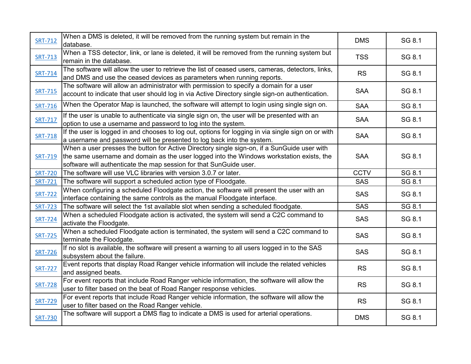| <b>SRT-712</b> | When a DMS is deleted, it will be removed from the running system but remain in the<br>database.                                                                                                                                                              | <b>DMS</b>  | SG 8.1 |
|----------------|---------------------------------------------------------------------------------------------------------------------------------------------------------------------------------------------------------------------------------------------------------------|-------------|--------|
| <b>SRT-713</b> | When a TSS detector, link, or lane is deleted, it will be removed from the running system but<br>remain in the database.                                                                                                                                      | <b>TSS</b>  | SG 8.1 |
| SRT-714        | The software will allow the user to retrieve the list of ceased users, cameras, detectors, links,<br>and DMS and use the ceased devices as parameters when running reports.                                                                                   | <b>RS</b>   | SG 8.1 |
| SRT-715        | The software will allow an administrator with permission to specify a domain for a user<br>account to indicate that user should log in via Active Directory single sign-on authentication.                                                                    | <b>SAA</b>  | SG 8.1 |
| <b>SRT-716</b> | When the Operator Map is launched, the software will attempt to login using single sign on.                                                                                                                                                                   | <b>SAA</b>  | SG 8.1 |
| <b>SRT-717</b> | If the user is unable to authenticate via single sign on, the user will be presented with an<br>option to use a username and password to log into the system.                                                                                                 | <b>SAA</b>  | SG 8.1 |
| SRT-718        | If the user is logged in and chooses to log out, options for logging in via single sign on or with<br>a username and password will be presented to log back into the system.                                                                                  | <b>SAA</b>  | SG 8.1 |
| SRT-719        | When a user presses the button for Active Directory single sign-on, if a SunGuide user with<br>the same username and domain as the user logged into the Windows workstation exists, the<br>software will authenticate the map session for that SunGuide user. | <b>SAA</b>  | SG 8.1 |
| <b>SRT-720</b> | The software will use VLC libraries with version 3.0.7 or later.                                                                                                                                                                                              | <b>CCTV</b> | SG 8.1 |
| <b>SRT-721</b> | The software will support a scheduled action type of Floodgate.                                                                                                                                                                                               | <b>SAS</b>  | SG 8.1 |
| <b>SRT-722</b> | When configuring a scheduled Floodgate action, the software will present the user with an<br>interface containing the same controls as the manual Floodgate interface.                                                                                        | <b>SAS</b>  | SG 8.1 |
| <b>SRT-723</b> | The software will select the 1st available slot when sending a scheduled floodgate.                                                                                                                                                                           | <b>SAS</b>  | SG 8.1 |
| <b>SRT-724</b> | When a scheduled Floodgate action is activated, the system will send a C2C command to<br>activate the Floodgate.                                                                                                                                              | <b>SAS</b>  | SG 8.1 |
| <b>SRT-725</b> | When a scheduled Floodgate action is terminated, the system will send a C2C command to<br>terminate the Floodgate.                                                                                                                                            | <b>SAS</b>  | SG 8.1 |
| <b>SRT-726</b> | If no slot is available, the software will present a warning to all users logged in to the SAS<br>subsystem about the failure.                                                                                                                                | <b>SAS</b>  | SG 8.1 |
| <b>SRT-727</b> | Event reports that display Road Ranger vehicle information will include the related vehicles<br>and assigned beats.                                                                                                                                           | <b>RS</b>   | SG 8.1 |
| <b>SRT-728</b> | For event reports that include Road Ranger vehicle information, the software will allow the<br>user to filter based on the beat of Road Ranger response vehicles.                                                                                             | <b>RS</b>   | SG 8.1 |
| <b>SRT-729</b> | For event reports that include Road Ranger vehicle information, the software will allow the<br>user to filter based on the Road Ranger vehicle.                                                                                                               | <b>RS</b>   | SG 8.1 |
| <b>SRT-730</b> | The software will support a DMS flag to indicate a DMS is used for arterial operations.                                                                                                                                                                       | <b>DMS</b>  | SG 8.1 |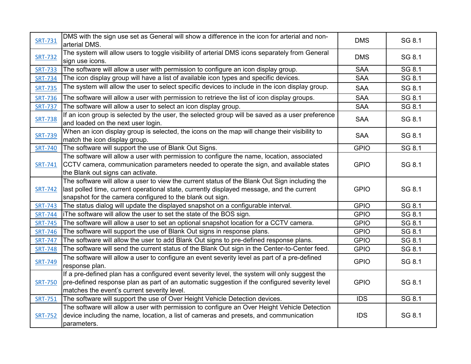| <b>SRT-731</b> | DMS with the sign use set as General will show a difference in the icon for arterial and non-<br>arterial DMS.                                                                                                                                          | <b>DMS</b>  | SG 8.1 |
|----------------|---------------------------------------------------------------------------------------------------------------------------------------------------------------------------------------------------------------------------------------------------------|-------------|--------|
| <b>SRT-732</b> | The system will allow users to toggle visibility of arterial DMS icons separately from General<br>sign use icons.                                                                                                                                       | <b>DMS</b>  | SG 8.1 |
| <b>SRT-733</b> | The software will allow a user with permission to configure an icon display group.                                                                                                                                                                      | <b>SAA</b>  | SG 8.1 |
| <b>SRT-734</b> | The icon display group will have a list of available icon types and specific devices.                                                                                                                                                                   | <b>SAA</b>  | SG 8.1 |
| <b>SRT-735</b> | The system will allow the user to select specific devices to include in the icon display group.                                                                                                                                                         | <b>SAA</b>  | SG 8.1 |
| <b>SRT-736</b> | The software will allow a user with permission to retrieve the list of icon display groups.                                                                                                                                                             | <b>SAA</b>  | SG 8.1 |
| <b>SRT-737</b> | The software will allow a user to select an icon display group.                                                                                                                                                                                         | <b>SAA</b>  | SG 8.1 |
| <b>SRT-738</b> | If an icon group is selected by the user, the selected group will be saved as a user preference<br>and loaded on the next user login.                                                                                                                   | <b>SAA</b>  | SG 8.1 |
| <b>SRT-739</b> | When an icon display group is selected, the icons on the map will change their visibility to<br>match the icon display group.                                                                                                                           | <b>SAA</b>  | SG 8.1 |
| <b>SRT-740</b> | The software will support the use of Blank Out Signs.                                                                                                                                                                                                   | <b>GPIO</b> | SG 8.1 |
| SRT-741        | The software will allow a user with permission to configure the name, location, associated<br>CCTV camera, communication parameters needed to operate the sign, and available states<br>the Blank out signs can activate.                               | <b>GPIO</b> | SG 8.1 |
| <b>SRT-742</b> | The software will allow a user to view the current status of the Blank Out Sign including the<br>last polled time, current operational state, currently displayed message, and the current<br>snapshot for the camera configured to the blank out sign. | <b>GPIO</b> | SG 8.1 |
| <b>SRT-743</b> | The status dialog will update the displayed snapshot on a configurable interval.                                                                                                                                                                        | <b>GPIO</b> | SG 8.1 |
| <b>SRT-744</b> | iThe software will allow the user to set the state of the BOS sign.                                                                                                                                                                                     | <b>GPIO</b> | SG 8.1 |
| <b>SRT-745</b> | The software will allow a user to set an optional snapshot location for a CCTV camera.                                                                                                                                                                  | <b>GPIO</b> | SG 8.1 |
| <b>SRT-746</b> | The software will support the use of Blank Out signs in response plans.                                                                                                                                                                                 | <b>GPIO</b> | SG 8.1 |
| <b>SRT-747</b> | The software will allow the user to add Blank Out signs to pre-defined response plans.                                                                                                                                                                  | <b>GPIO</b> | SG 8.1 |
| <b>SRT-748</b> | The software will send the current status of the Blank Out sign in the Center-to-Center feed.                                                                                                                                                           | <b>GPIO</b> | SG 8.1 |
| <b>SRT-749</b> | The software will allow a user to configure an event severity level as part of a pre-defined<br>response plan.                                                                                                                                          | <b>GPIO</b> | SG 8.1 |
| <b>SRT-750</b> | If a pre-defined plan has a configured event severity level, the system will only suggest the<br>$ $ pre-defined response plan as part of an automatic suggestion if the configured severity level<br>matches the event's current severity level.       | <b>GPIO</b> | SG 8.1 |
| SRT-751        | The software will support the use of Over Height Vehicle Detection devices.                                                                                                                                                                             | <b>IDS</b>  | SG 8.1 |
| <b>SRT-752</b> | The software will allow a user with permission to configure an Over Height Vehicle Detection<br>device including the name, location, a list of cameras and presets, and communication<br>parameters.                                                    | <b>IDS</b>  | SG 8.1 |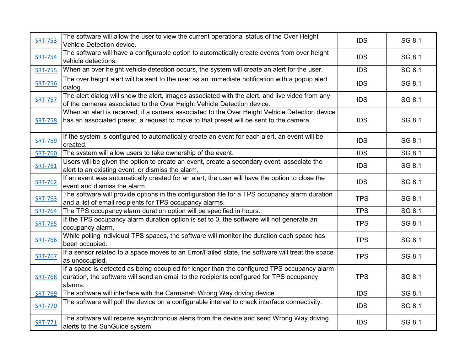| <b>SRT-753</b> | The software will allow the user to view the current operational status of the Over Height<br>Vehicle Detection device.                                                                            | <b>IDS</b> | SG 8.1 |
|----------------|----------------------------------------------------------------------------------------------------------------------------------------------------------------------------------------------------|------------|--------|
| <b>SRT-754</b> | The software will have a configurable option to automatically create events from over height<br>vehicle detections.                                                                                | <b>IDS</b> | SG 8.1 |
| <b>SRT-755</b> | When an over height vehicle detection occurs, the system will create an alert for the user.                                                                                                        | <b>IDS</b> | SG 8.1 |
| <b>SRT-756</b> | The over height alert will be sent to the user as an immediate notification with a popup alert<br>dialog.                                                                                          | <b>IDS</b> | SG 8.1 |
| <b>SRT-757</b> | The alert dialog will show the alert, images associated with the alert, and live video from any<br>of the cameras associated to the Over Height Vehicle Detection device.                          | <b>IDS</b> | SG 8.1 |
| <b>SRT-758</b> | When an alert is received, if a camera associated to the Over Height Vehicle Detection device<br>has an associated preset, a request to move to that preset will be sent to the camera.            | <b>IDS</b> | SG 8.1 |
| <b>SRT-759</b> | If the system is configured to automatically create an event for each alert, an event will be<br>created.                                                                                          | <b>IDS</b> | SG 8.1 |
| <b>SRT-760</b> | The system will allow users to take ownership of the event.                                                                                                                                        | <b>IDS</b> | SG 8.1 |
| SRT-761        | Users will be given the option to create an event, create a secondary event, associate the<br>alert to an existing event, or dismiss the alarm.                                                    | <b>IDS</b> | SG 8.1 |
| <b>SRT-762</b> | If an event was automatically created for an alert, the user will have the option to close the<br>event and dismiss the alarm.                                                                     | <b>IDS</b> | SG 8.1 |
| <b>SRT-763</b> | The software will provide options in the configuration file for a TPS occupancy alarm duration<br>and a list of email recipients for TPS occupancy alarms.                                         | <b>TPS</b> | SG 8.1 |
| <b>SRT-764</b> | The TPS occupancy alarm duration option will be specified in hours.                                                                                                                                | <b>TPS</b> | SG 8.1 |
| <b>SRT-765</b> | If the TPS occupancy alarm duration option is set to 0, the software will not generate an<br>occupancy alarm.                                                                                      | <b>TPS</b> | SG 8.1 |
| <b>SRT-766</b> | While polling individual TPS spaces, the software will monitor the duration each space has<br>been occupied.                                                                                       | <b>TPS</b> | SG 8.1 |
| <b>SRT-767</b> | If a sensor related to a space moves to an Error/Failed state, the software will treat the space<br>as unoccupied.                                                                                 | <b>TPS</b> | SG 8.1 |
| <b>SRT-768</b> | If a space is detected as being occupied for longer than the configured TPS occupancy alarm<br>duration, the software will send an email to the recipients configured for TPS occupancy<br>alarms. | <b>TPS</b> | SG 8.1 |
| <b>SRT-769</b> | The software will interface with the Carmanah Wrong Way driving device.                                                                                                                            | <b>IDS</b> | SG 8.1 |
| <b>SRT-770</b> | The software will poll the device on a configurable interval to check interface connectivity.                                                                                                      | <b>IDS</b> | SG 8.1 |
| SRT-771        | The software will receive asynchronous alerts from the device and send Wrong Way driving<br>alerts to the SunGuide system.                                                                         | <b>IDS</b> | SG 8.1 |